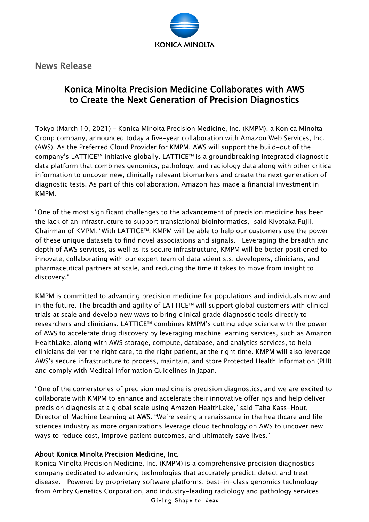

News Release

## Konica Minolta Precision Medicine Collaborates with AWS to Create the Next Generation of Precision Diagnostics

Tokyo (March 10, 2021) – Konica Minolta Precision Medicine, Inc. (KMPM), a Konica Minolta Group company, announced today a five-year collaboration with Amazon Web Services, Inc. (AWS). As the Preferred Cloud Provider for KMPM, AWS will support the build-out of the company's LATTICE™ initiative globally. LATTICE™ is a groundbreaking integrated diagnostic data platform that combines genomics, pathology, and radiology data along with other critical information to uncover new, clinically relevant biomarkers and create the next generation of diagnostic tests. As part of this collaboration, Amazon has made a financial investment in KMPM.

"One of the most significant challenges to the advancement of precision medicine has been the lack of an infrastructure to support translational bioinformatics," said Kiyotaka Fujii, Chairman of KMPM. "With LATTICE™, KMPM will be able to help our customers use the power of these unique datasets to find novel associations and signals. Leveraging the breadth and depth of AWS services, as well as its secure infrastructure, KMPM will be better positioned to innovate, collaborating with our expert team of data scientists, developers, clinicians, and pharmaceutical partners at scale, and reducing the time it takes to move from insight to discovery."

KMPM is committed to advancing precision medicine for populations and individuals now and in the future. The breadth and agility of LATTICE™ will support global customers with clinical trials at scale and develop new ways to bring clinical grade diagnostic tools directly to researchers and clinicians. LATTICE™ combines KMPM's cutting edge science with the power of AWS to accelerate drug discovery by leveraging machine learning services, such as Amazon HealthLake, along with AWS storage, compute, database, and analytics services, to help clinicians deliver the right care, to the right patient, at the right time. KMPM will also leverage AWS's secure infrastructure to process, maintain, and store Protected Health Information (PHI) and comply with Medical Information Guidelines in Japan.

"One of the cornerstones of precision medicine is precision diagnostics, and we are excited to collaborate with KMPM to enhance and accelerate their innovative offerings and help deliver precision diagnosis at a global scale using Amazon HealthLake," said Taha Kass-Hout, Director of Machine Learning at AWS. "We're seeing a renaissance in the healthcare and life sciences industry as more organizations leverage cloud technology on AWS to uncover new ways to reduce cost, improve patient outcomes, and ultimately save lives."

## About Konica Minolta Precision Medicine, Inc.

Konica Minolta Precision Medicine, Inc. (KMPM) is a comprehensive precision diagnostics company dedicated to advancing technologies that accurately predict, detect and treat disease. Powered by proprietary software platforms, best-in-class genomics technology from Ambry Genetics Corporation, and industry-leading radiology and pathology services

Giving Shape to Ideas